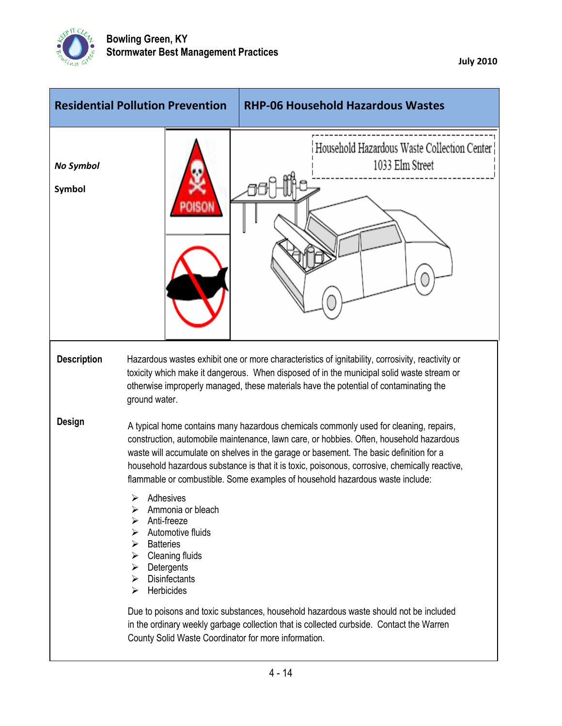

|                            | <b>Residential Pollution Prevention</b>                                                                                                                                                                         | <b>RHP-06 Household Hazardous Wastes</b>                                                                                                                                                                                                                                                                                                                                                                                                                                                                                                              |
|----------------------------|-----------------------------------------------------------------------------------------------------------------------------------------------------------------------------------------------------------------|-------------------------------------------------------------------------------------------------------------------------------------------------------------------------------------------------------------------------------------------------------------------------------------------------------------------------------------------------------------------------------------------------------------------------------------------------------------------------------------------------------------------------------------------------------|
| <b>No Symbol</b><br>Symbol |                                                                                                                                                                                                                 | Household Hazardous Waste Collection Center<br>1033 Elm Street                                                                                                                                                                                                                                                                                                                                                                                                                                                                                        |
| <b>Description</b>         | ground water.                                                                                                                                                                                                   | Hazardous wastes exhibit one or more characteristics of ignitability, corrosivity, reactivity or<br>toxicity which make it dangerous. When disposed of in the municipal solid waste stream or<br>otherwise improperly managed, these materials have the potential of contaminating the                                                                                                                                                                                                                                                                |
| Design                     | Adhesives<br>➤<br>Ammonia or bleach<br>⋗<br>Anti-freeze<br>⋗<br>Automotive fluids<br>➤<br><b>Batteries</b><br>➤<br>Cleaning fluids<br>➤<br>$\triangleright$ Detergents<br>Disinfectants<br>⋗<br>Herbicides<br>➤ | A typical home contains many hazardous chemicals commonly used for cleaning, repairs,<br>construction, automobile maintenance, lawn care, or hobbies. Often, household hazardous<br>waste will accumulate on shelves in the garage or basement. The basic definition for a<br>household hazardous substance is that it is toxic, poisonous, corrosive, chemically reactive,<br>flammable or combustible. Some examples of household hazardous waste include:<br>Due to poisons and toxic substances, household hazardous waste should not be included |
|                            | County Solid Waste Coordinator for more information.                                                                                                                                                            | in the ordinary weekly garbage collection that is collected curbside. Contact the Warren                                                                                                                                                                                                                                                                                                                                                                                                                                                              |